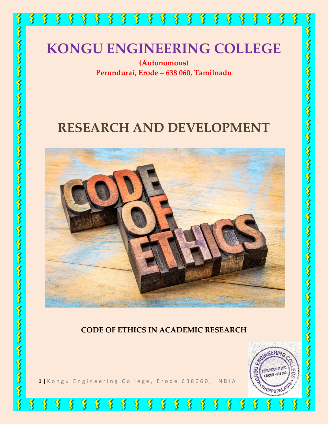

# **RESEARCH AND DEVELOPMENT**



#### **CODE OF ETHICS IN ACADEMIC RESEARCH**

 $\sum_{i=1}^{N}$ 

 $\sum_{i=1}^{N}$ 

 $\bm{\Im}$ 

 $\frac{1}{3}$ 

 $\sum_{i=1}^{n}$ 



 $\bigotimes$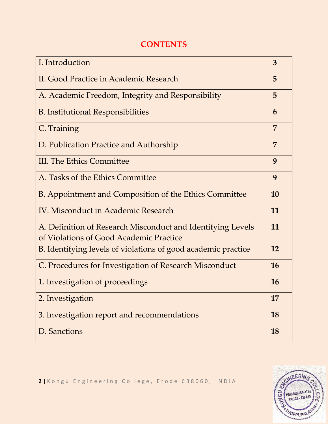| I. Introduction                                                                                        | 3              |
|--------------------------------------------------------------------------------------------------------|----------------|
| II. Good Practice in Academic Research                                                                 | 5              |
| A. Academic Freedom, Integrity and Responsibility                                                      | 5              |
| <b>B.</b> Institutional Responsibilities                                                               | 6              |
| C. Training                                                                                            | $\overline{7}$ |
| D. Publication Practice and Authorship                                                                 | 7              |
| <b>III. The Ethics Committee</b>                                                                       | 9              |
| A. Tasks of the Ethics Committee                                                                       | 9              |
| B. Appointment and Composition of the Ethics Committee                                                 | 10             |
| IV. Misconduct in Academic Research                                                                    | 11             |
| A. Definition of Research Misconduct and Identifying Levels<br>of Violations of Good Academic Practice | 11             |
| B. Identifying levels of violations of good academic practice                                          | 12             |
| C. Procedures for Investigation of Research Misconduct                                                 | 16             |
| 1. Investigation of proceedings                                                                        | 16             |
| 2. Investigation                                                                                       | 17             |
| 3. Investigation report and recommendations                                                            | 18             |
| D. Sanctions                                                                                           | <b>18</b>      |

#### **CONTENTS**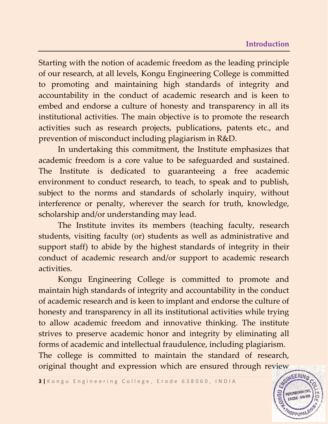#### **Introduction**

Starting with the notion of academic freedom as the leading principle of our research, at all levels, Kongu Engineering College is committed to promoting and maintaining high standards of integrity and accountability in the conduct of academic research and is keen to embed and endorse a culture of honesty and transparency in all its institutional activities. The main objective is to promote the research activities such as research projects, publications, patents etc., and prevention of misconduct including plagiarism in R&D.

In undertaking this commitment, the Institute emphasizes that academic freedom is a core value to be safeguarded and sustained. The Institute is dedicated to guaranteeing a free academic environment to conduct research, to teach, to speak and to publish, subject to the norms and standards of scholarly inquiry, without interference or penalty, wherever the search for truth, knowledge, scholarship and/or understanding may lead.

The Institute invites its members (teaching faculty, research students, visiting faculty (or) students as well as administrative and support staff) to abide by the highest standards of integrity in their conduct of academic research and/or support to academic research activities.

Kongu Engineering College is committed to promote and maintain high standards of integrity and accountability in the conduct of academic research and is keen to implant and endorse the culture of honesty and transparency in all its institutional activities while trying to allow academic freedom and innovative thinking. The institute strives to preserve academic honor and integrity by eliminating all forms of academic and intellectual fraudulence, including plagiarism. The college is committed to maintain the standard of research, original thought and expression which are ensured through review

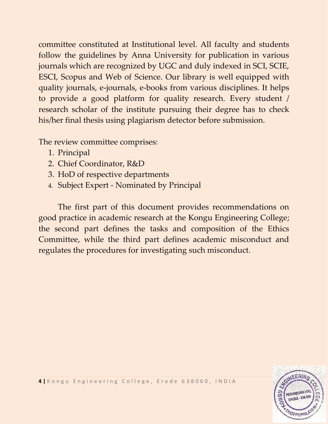committee constituted at Institutional level. All faculty and students follow the guidelines by Anna University for publication in various journals which are recognized by UGC and duly indexed in SCI, SCIE, ESCI, Scopus and Web of Science. Our library is well equipped with quality journals, e-journals, e-books from various disciplines. It helps to provide a good platform for quality research. Every student / research scholar of the institute pursuing their degree has to check his/her final thesis using plagiarism detector before submission.

The review committee comprises:

- 1. Principal
- 2. Chief Coordinator, R&D
- 3. HoD of respective departments
- 4. Subject Expert Nominated by Principal

The first part of this document provides recommendations on good practice in academic research at the Kongu Engineering College; the second part defines the tasks and composition of the Ethics Committee, while the third part defines academic misconduct and regulates the procedures for investigating such misconduct.

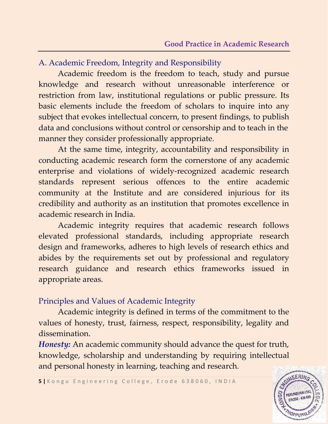## A. Academic Freedom, Integrity and Responsibility

Academic freedom is the freedom to teach, study and pursue knowledge and research without unreasonable interference or restriction from law, institutional regulations or public pressure. Its basic elements include the freedom of scholars to inquire into any subject that evokes intellectual concern, to present findings, to publish data and conclusions without control or censorship and to teach in the manner they consider professionally appropriate.

At the same time, integrity, accountability and responsibility in conducting academic research form the cornerstone of any academic enterprise and violations of widely-recognized academic research standards represent serious offences to the entire academic community at the Institute and are considered injurious for its credibility and authority as an institution that promotes excellence in academic research in India.

Academic integrity requires that academic research follows elevated professional standards, including appropriate research design and frameworks, adheres to high levels of research ethics and abides by the requirements set out by professional and regulatory research guidance and research ethics frameworks issued in appropriate areas.

#### Principles and Values of Academic Integrity

Academic integrity is defined in terms of the commitment to the values of honesty, trust, fairness, respect, responsibility, legality and dissemination.

*Honesty:* An academic community should advance the quest for truth, knowledge, scholarship and understanding by requiring intellectual and personal honesty in learning, teaching and research.

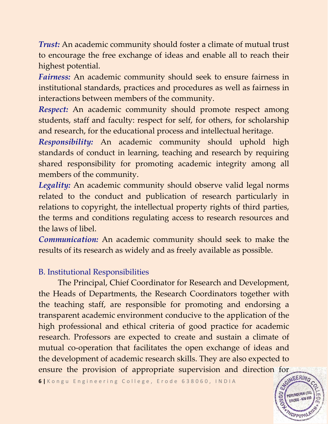*Trust:* An academic community should foster a climate of mutual trust to encourage the free exchange of ideas and enable all to reach their highest potential.

*Fairness:* An academic community should seek to ensure fairness in institutional standards, practices and procedures as well as fairness in interactions between members of the community.

*Respect:* An academic community should promote respect among students, staff and faculty: respect for self, for others, for scholarship and research, for the educational process and intellectual heritage.

*Responsibility:* An academic community should uphold high standards of conduct in learning, teaching and research by requiring shared responsibility for promoting academic integrity among all members of the community.

*Legality:* An academic community should observe valid legal norms related to the conduct and publication of research particularly in relations to copyright, the intellectual property rights of third parties, the terms and conditions regulating access to research resources and the laws of libel.

*Communication:* An academic community should seek to make the results of its research as widely and as freely available as possible.

# B. Institutional Responsibilities

The Principal, Chief Coordinator for Research and Development, the Heads of Departments, the Research Coordinators together with the teaching staff, are responsible for promoting and endorsing a transparent academic environment conducive to the application of the high professional and ethical criteria of good practice for academic research. Professors are expected to create and sustain a climate of mutual co-operation that facilitates the open exchange of ideas and the development of academic research skills. They are also expected to ensure the provision of appropriate supervision and direction for

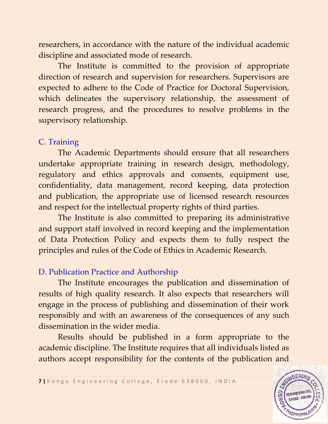researchers, in accordance with the nature of the individual academic discipline and associated mode of research.

The Institute is committed to the provision of appropriate direction of research and supervision for researchers. Supervisors are expected to adhere to the Code of Practice for Doctoral Supervision, which delineates the supervisory relationship, the assessment of research progress, and the procedures to resolve problems in the supervisory relationship.

#### C. Training

The Academic Departments should ensure that all researchers undertake appropriate training in research design, methodology, regulatory and ethics approvals and consents, equipment use, confidentiality, data management, record keeping, data protection and publication, the appropriate use of licensed research resources and respect for the intellectual property rights of third parties.

The Institute is also committed to preparing its administrative and support staff involved in record keeping and the implementation of Data Protection Policy and expects them to fully respect the principles and rules of the Code of Ethics in Academic Research.

#### D. Publication Practice and Authorship

The Institute encourages the publication and dissemination of results of high quality research. It also expects that researchers will engage in the process of publishing and dissemination of their work responsibly and with an awareness of the consequences of any such dissemination in the wider media.

Results should be published in a form appropriate to the academic discipline. The Institute requires that all individuals listed as authors accept responsibility for the contents of the publication and

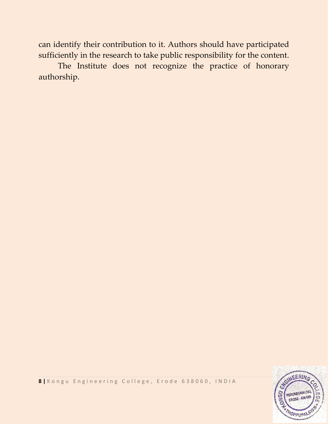can identify their contribution to it. Authors should have participated sufficiently in the research to take public responsibility for the content.

The Institute does not recognize the practice of honorary authorship.

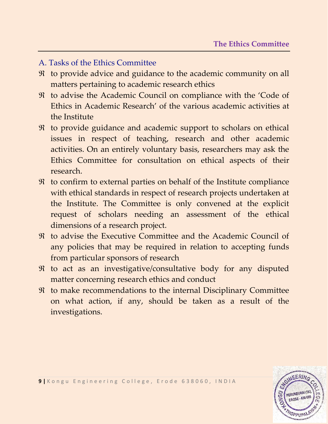## A. Tasks of the Ethics Committee

- $\Re$  to provide advice and guidance to the academic community on all matters pertaining to academic research ethics
- to advise the Academic Council on compliance with the 'Code of Ethics in Academic Research' of the various academic activities at the Institute
- $\Re$  to provide guidance and academic support to scholars on ethical issues in respect of teaching, research and other academic activities. On an entirely voluntary basis, researchers may ask the Ethics Committee for consultation on ethical aspects of their research.
- to confirm to external parties on behalf of the Institute compliance with ethical standards in respect of research projects undertaken at the Institute. The Committee is only convened at the explicit request of scholars needing an assessment of the ethical dimensions of a research project.
- to advise the Executive Committee and the Academic Council of any policies that may be required in relation to accepting funds from particular sponsors of research
- $\Re$  to act as an investigative/consultative body for any disputed matter concerning research ethics and conduct
- $\Re$  to make recommendations to the internal Disciplinary Committee on what action, if any, should be taken as a result of the investigations.

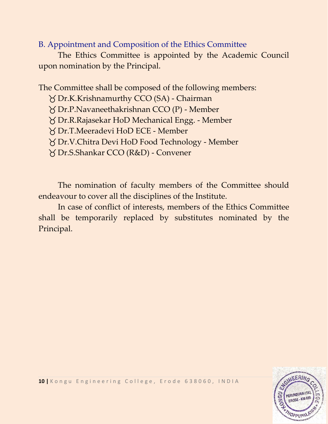### B. Appointment and Composition of the Ethics Committee

The Ethics Committee is appointed by the Academic Council upon nomination by the Principal.

The Committee shall be composed of the following members:

Dr.K.Krishnamurthy CCO (SA) - Chairman

Dr.P.Navaneethakrishnan CCO (P) - Member

Dr.R.Rajasekar HoD Mechanical Engg. - Member

Dr.T.Meeradevi HoD ECE - Member

Dr.V.Chitra Devi HoD Food Technology - Member

Dr.S.Shankar CCO (R&D) - Convener

The nomination of faculty members of the Committee should endeavour to cover all the disciplines of the Institute.

In case of conflict of interests, members of the Ethics Committee shall be temporarily replaced by substitutes nominated by the Principal.

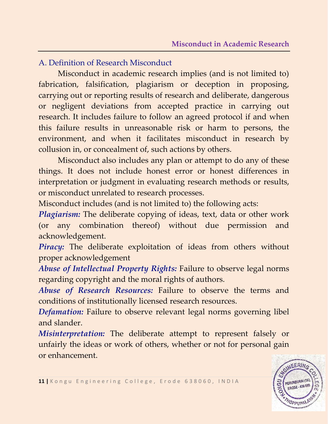## A. Definition of Research Misconduct

Misconduct in academic research implies (and is not limited to) fabrication, falsification, plagiarism or deception in proposing, carrying out or reporting results of research and deliberate, dangerous or negligent deviations from accepted practice in carrying out research. It includes failure to follow an agreed protocol if and when this failure results in unreasonable risk or harm to persons, the environment, and when it facilitates misconduct in research by collusion in, or concealment of, such actions by others.

Misconduct also includes any plan or attempt to do any of these things. It does not include honest error or honest differences in interpretation or judgment in evaluating research methods or results, or misconduct unrelated to research processes.

Misconduct includes (and is not limited to) the following acts:

*Plagiarism:* The deliberate copying of ideas, text, data or other work (or any combination thereof) without due permission and acknowledgement.

*Piracy:* The deliberate exploitation of ideas from others without proper acknowledgement

*Abuse of Intellectual Property Rights:* Failure to observe legal norms regarding copyright and the moral rights of authors.

*Abuse of Research Resources:* Failure to observe the terms and conditions of institutionally licensed research resources.

*Defamation:* Failure to observe relevant legal norms governing libel and slander.

*Misinterpretation:* The deliberate attempt to represent falsely or unfairly the ideas or work of others, whether or not for personal gain or enhancement.

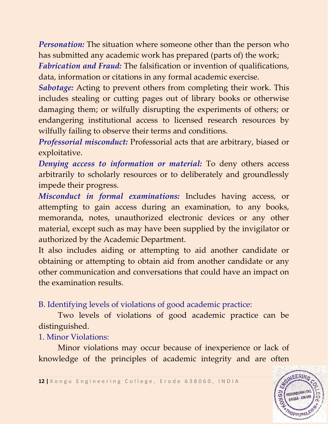*Personation:* The situation where someone other than the person who has submitted any academic work has prepared (parts of) the work;

*Fabrication and Fraud:* The falsification or invention of qualifications, data, information or citations in any formal academic exercise.

*Sabotage:* Acting to prevent others from completing their work. This includes stealing or cutting pages out of library books or otherwise damaging them; or wilfully disrupting the experiments of others; or endangering institutional access to licensed research resources by wilfully failing to observe their terms and conditions.

*Professorial misconduct:* Professorial acts that are arbitrary, biased or exploitative.

*Denying access to information or material:* To deny others access arbitrarily to scholarly resources or to deliberately and groundlessly impede their progress.

*Misconduct in formal examinations:* Includes having access, or attempting to gain access during an examination, to any books, memoranda, notes, unauthorized electronic devices or any other material, except such as may have been supplied by the invigilator or authorized by the Academic Department.

It also includes aiding or attempting to aid another candidate or obtaining or attempting to obtain aid from another candidate or any other communication and conversations that could have an impact on the examination results.

B. Identifying levels of violations of good academic practice:

Two levels of violations of good academic practice can be distinguished.

1. Minor Violations:

Minor violations may occur because of inexperience or lack of knowledge of the principles of academic integrity and are often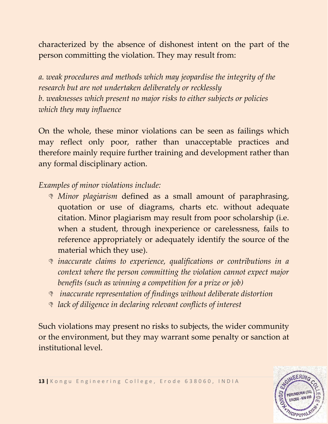characterized by the absence of dishonest intent on the part of the person committing the violation. They may result from:

*a. weak procedures and methods which may jeopardise the integrity of the research but are not undertaken deliberately or recklessly b. weaknesses which present no major risks to either subjects or policies which they may influence*

On the whole, these minor violations can be seen as failings which may reflect only poor, rather than unacceptable practices and therefore mainly require further training and development rather than any formal disciplinary action.

*Examples of minor violations include:*

- *Minor plagiarism* defined as a small amount of paraphrasing, quotation or use of diagrams, charts etc. without adequate citation. Minor plagiarism may result from poor scholarship (i.e. when a student, through inexperience or carelessness, fails to reference appropriately or adequately identify the source of the material which they use).
- *inaccurate claims to experience, qualifications or contributions in a context where the person committing the violation cannot expect major benefits (such as winning a competition for a prize or job)*
- *inaccurate representation of findings without deliberate distortion*
- *lack of diligence in declaring relevant conflicts of interest*

Such violations may present no risks to subjects, the wider community or the environment, but they may warrant some penalty or sanction at institutional level.

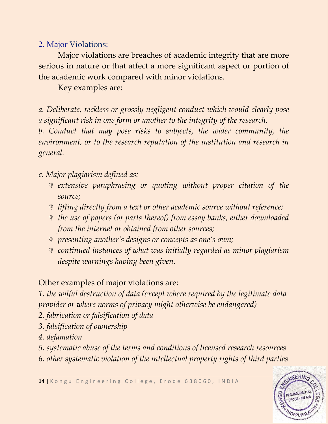## 2. Major Violations:

Major violations are breaches of academic integrity that are more serious in nature or that affect a more significant aspect or portion of the academic work compared with minor violations.

Key examples are:

*a. Deliberate, reckless or grossly negligent conduct which would clearly pose a significant risk in one form or another to the integrity of the research.*

*b. Conduct that may pose risks to subjects, the wider community, the environment, or to the research reputation of the institution and research in general.*

*c. Major plagiarism defined as:*

- *extensive paraphrasing or quoting without proper citation of the source;*
- *lifting directly from a text or other academic source without reference;*
- *the use of papers (or parts thereof) from essay banks, either downloaded from the internet or obtained from other sources;*
- *presenting another's designs or concepts as one's own;*
- *continued instances of what was initially regarded as minor plagiarism despite warnings having been given.*

Other examples of major violations are:

*1. the wilful destruction of data (except where required by the legitimate data provider or where norms of privacy might otherwise be endangered)*

- *2. fabrication or falsification of data*
- *3. falsification of ownership*
- *4. defamation*
- *5. systematic abuse of the terms and conditions of licensed research resources*
- *6. other systematic violation of the intellectual property rights of third parties*

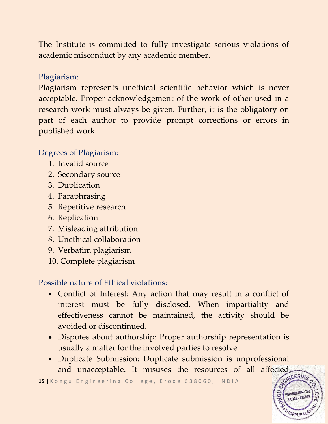The Institute is committed to fully investigate serious violations of academic misconduct by any academic member.

# Plagiarism:

Plagiarism represents unethical scientific behavior which is never acceptable. Proper acknowledgement of the work of other used in a research work must always be given. Further, it is the obligatory on part of each author to provide prompt corrections or errors in published work.

# Degrees of Plagiarism:

- 1. Invalid source
- 2. Secondary source
- 3. Duplication
- 4. Paraphrasing
- 5. Repetitive research
- 6. Replication
- 7. Misleading attribution
- 8. Unethical collaboration
- 9. Verbatim plagiarism
- 10. Complete plagiarism

Possible nature of Ethical violations:

- Conflict of Interest: Any action that may result in a conflict of interest must be fully disclosed. When impartiality and effectiveness cannot be maintained, the activity should be avoided or discontinued.
- Disputes about authorship: Proper authorship representation is usually a matter for the involved parties to resolve
- Duplicate Submission: Duplicate submission is unprofessional and unacceptable. It misuses the resources of all affected

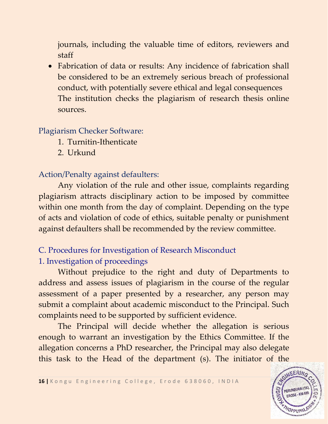journals, including the valuable time of editors, reviewers and staff

• Fabrication of data or results: Any incidence of fabrication shall be considered to be an extremely serious breach of professional conduct, with potentially severe ethical and legal consequences The institution checks the plagiarism of research thesis online sources.

#### Plagiarism Checker Software:

- 1. Turnitin-Ithenticate
- 2. Urkund

# Action/Penalty against defaulters:

Any violation of the rule and other issue, complaints regarding plagiarism attracts disciplinary action to be imposed by committee within one month from the day of complaint. Depending on the type of acts and violation of code of ethics, suitable penalty or punishment against defaulters shall be recommended by the review committee.

# C. Procedures for Investigation of Research Misconduct 1. Investigation of proceedings

Without prejudice to the right and duty of Departments to address and assess issues of plagiarism in the course of the regular assessment of a paper presented by a researcher, any person may submit a complaint about academic misconduct to the Principal. Such complaints need to be supported by sufficient evidence.

The Principal will decide whether the allegation is serious enough to warrant an investigation by the Ethics Committee. If the allegation concerns a PhD researcher, the Principal may also delegate this task to the Head of the department (s). The initiator of the

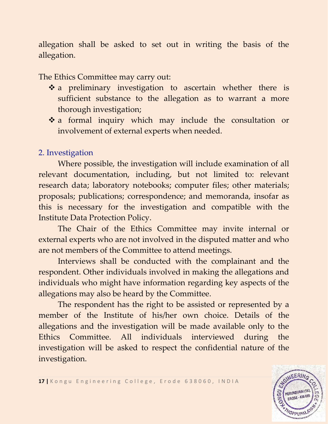allegation shall be asked to set out in writing the basis of the allegation.

The Ethics Committee may carry out:

- \* a preliminary investigation to ascertain whether there is sufficient substance to the allegation as to warrant a more thorough investigation;
- a formal inquiry which may include the consultation or involvement of external experts when needed.

# 2. Investigation

Where possible, the investigation will include examination of all relevant documentation, including, but not limited to: relevant research data; laboratory notebooks; computer files; other materials; proposals; publications; correspondence; and memoranda, insofar as this is necessary for the investigation and compatible with the Institute Data Protection Policy.

The Chair of the Ethics Committee may invite internal or external experts who are not involved in the disputed matter and who are not members of the Committee to attend meetings.

Interviews shall be conducted with the complainant and the respondent. Other individuals involved in making the allegations and individuals who might have information regarding key aspects of the allegations may also be heard by the Committee.

The respondent has the right to be assisted or represented by a member of the Institute of his/her own choice. Details of the allegations and the investigation will be made available only to the Ethics Committee. All individuals interviewed during the investigation will be asked to respect the confidential nature of the investigation.



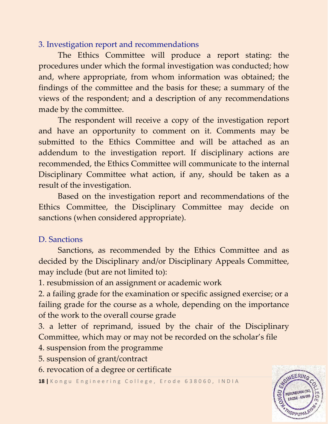# 3. Investigation report and recommendations

The Ethics Committee will produce a report stating: the procedures under which the formal investigation was conducted; how and, where appropriate, from whom information was obtained; the findings of the committee and the basis for these; a summary of the views of the respondent; and a description of any recommendations made by the committee.

The respondent will receive a copy of the investigation report and have an opportunity to comment on it. Comments may be submitted to the Ethics Committee and will be attached as an addendum to the investigation report. If disciplinary actions are recommended, the Ethics Committee will communicate to the internal Disciplinary Committee what action, if any, should be taken as a result of the investigation.

Based on the investigation report and recommendations of the Ethics Committee, the Disciplinary Committee may decide on sanctions (when considered appropriate).

## D. Sanctions

Sanctions, as recommended by the Ethics Committee and as decided by the Disciplinary and/or Disciplinary Appeals Committee, may include (but are not limited to):

1. resubmission of an assignment or academic work

2. a failing grade for the examination or specific assigned exercise; or a failing grade for the course as a whole, depending on the importance of the work to the overall course grade

3. a letter of reprimand, issued by the chair of the Disciplinary Committee, which may or may not be recorded on the scholar's file

4. suspension from the programme

- 5. suspension of grant/contract
- 6. revocation of a degree or certificate